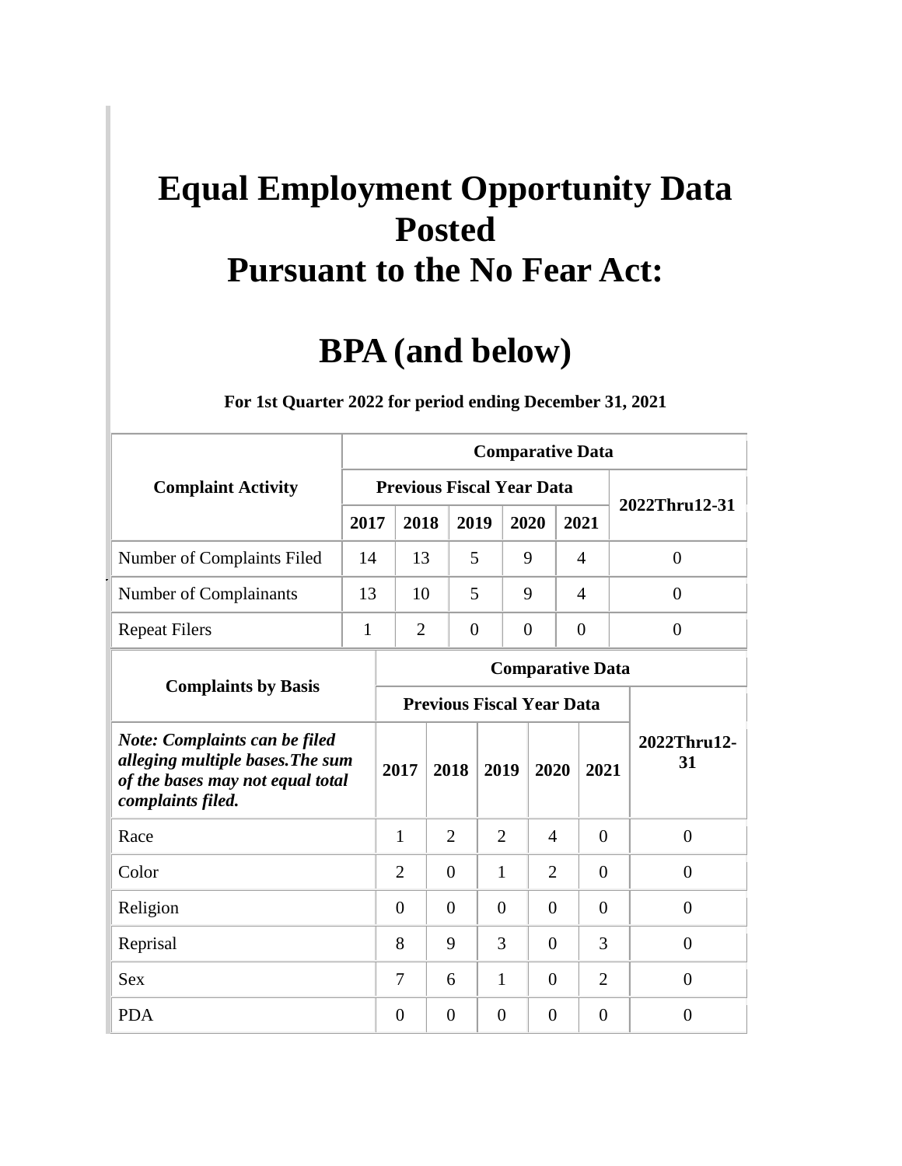## **Equal Employment Opportunity Data Posted Pursuant to the No Fear Act:**

## **BPA (and below)**

|                                                                                                                            |      |                                  |                |                |                | <b>Comparative Data</b> |                |                   |  |  |  |
|----------------------------------------------------------------------------------------------------------------------------|------|----------------------------------|----------------|----------------|----------------|-------------------------|----------------|-------------------|--|--|--|
| <b>Complaint Activity</b>                                                                                                  |      | <b>Previous Fiscal Year Data</b> |                |                |                |                         |                | 2022Thru12-31     |  |  |  |
|                                                                                                                            | 2017 | 2018                             |                | 2019           | 2020           |                         | 2021           |                   |  |  |  |
| Number of Complaints Filed                                                                                                 | 14   | 13                               |                | 5              | 9              |                         | $\overline{4}$ | $\theta$          |  |  |  |
| Number of Complainants                                                                                                     | 13   | 10                               |                | 5              | 9              |                         | $\overline{4}$ | $\theta$          |  |  |  |
| <b>Repeat Filers</b>                                                                                                       | 1    | $\overline{2}$                   |                | $\theta$       | $\overline{0}$ |                         | $\overline{0}$ | $\overline{0}$    |  |  |  |
|                                                                                                                            |      |                                  |                |                |                | <b>Comparative Data</b> |                |                   |  |  |  |
| <b>Complaints by Basis</b>                                                                                                 |      | <b>Previous Fiscal Year Data</b> |                |                |                |                         |                |                   |  |  |  |
| Note: Complaints can be filed<br>alleging multiple bases. The sum<br>of the bases may not equal total<br>complaints filed. |      | 2017                             | 2018           | 2019           |                | 2020                    | 2021           | 2022Thru12-<br>31 |  |  |  |
| Race                                                                                                                       |      | 1                                | $\overline{2}$ |                | $\overline{2}$ | 4                       | $\theta$       | $\overline{0}$    |  |  |  |
| Color                                                                                                                      |      | 2                                | $\Omega$       | 1              |                | 2                       | $\Omega$       | $\Omega$          |  |  |  |
| Religion                                                                                                                   |      | $\Omega$                         | $\Omega$       |                | $\Omega$       | $\Omega$                | $\Omega$       | $\theta$          |  |  |  |
| Reprisal                                                                                                                   |      | 8                                | 9              |                | 3              | $\overline{0}$          | 3              | $\theta$          |  |  |  |
| <b>Sex</b>                                                                                                                 |      | 7                                | 6              |                | $\mathbf{1}$   | $\overline{0}$          | $\overline{2}$ | $\theta$          |  |  |  |
| <b>PDA</b>                                                                                                                 |      | $\Omega$                         | $\overline{0}$ | $\overline{0}$ |                | $\overline{0}$          | $\theta$       | $\overline{0}$    |  |  |  |

**For 1st Quarter 2022 for period ending December 31, 2021**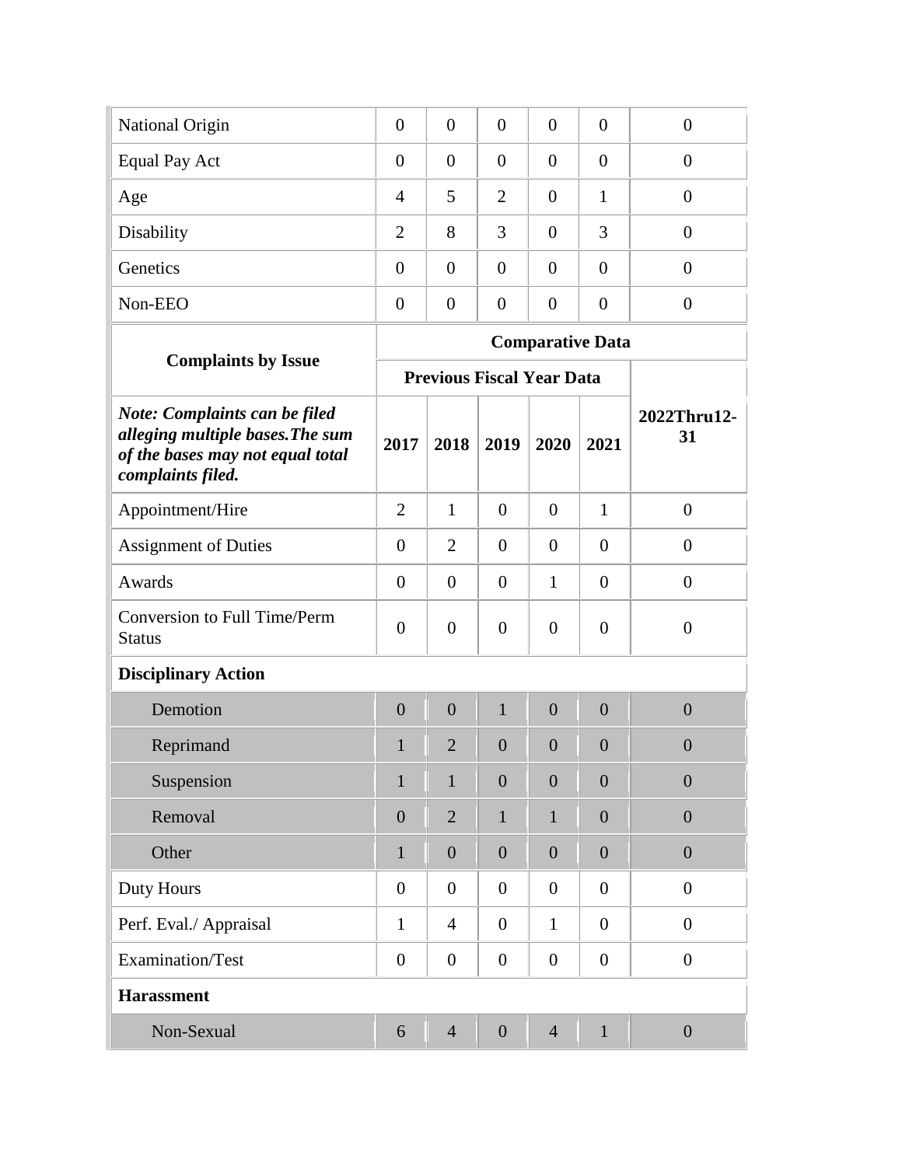| National Origin      | $\overline{0}$ | $\overline{0}$ | $\overline{0}$ | $\overline{0}$ | $\overline{0}$ |  |
|----------------------|----------------|----------------|----------------|----------------|----------------|--|
| <b>Equal Pay Act</b> | $\overline{0}$ | $\overline{0}$ | $\overline{0}$ | $\overline{0}$ | $\theta$       |  |
| Age                  | 4              | 5              | 2              | $\overline{0}$ |                |  |
| Disability           | $\overline{2}$ | 8              | 3              | $\overline{0}$ | 3              |  |
| Genetics             | $\overline{0}$ | $\overline{0}$ | $\theta$       | $\overline{0}$ | $\theta$       |  |
| Non-EEO              | $\overline{0}$ | $\overline{0}$ | $\Omega$       | $\overline{0}$ | $\Omega$       |  |
|                      |                |                |                |                |                |  |

|                                                                                                                                   |                  |                |                                  |                | <b>Comparative Data</b> |                   |
|-----------------------------------------------------------------------------------------------------------------------------------|------------------|----------------|----------------------------------|----------------|-------------------------|-------------------|
| <b>Complaints by Issue</b>                                                                                                        |                  |                | <b>Previous Fiscal Year Data</b> |                |                         |                   |
| <b>Note: Complaints can be filed</b><br>alleging multiple bases. The sum<br>of the bases may not equal total<br>complaints filed. | 2017             | 2018           | 2019                             | 2020           | 2021                    | 2022Thru12-<br>31 |
| Appointment/Hire                                                                                                                  | $\overline{2}$   | $\mathbf{1}$   | $\overline{0}$                   | $\overline{0}$ | $\mathbf{1}$            | $\overline{0}$    |
| <b>Assignment of Duties</b>                                                                                                       | $\overline{0}$   | $\overline{2}$ | $\overline{0}$                   | $\overline{0}$ | $\overline{0}$          | $\overline{0}$    |
| Awards                                                                                                                            | $\Omega$         | $\Omega$       | $\theta$                         | 1              | $\theta$                | $\Omega$          |
| <b>Conversion to Full Time/Perm</b><br><b>Status</b>                                                                              | $\overline{0}$   | $\overline{0}$ | $\overline{0}$                   | $\overline{0}$ | $\overline{0}$          | $\overline{0}$    |
| <b>Disciplinary Action</b>                                                                                                        |                  |                |                                  |                |                         |                   |
| Demotion                                                                                                                          | $\overline{0}$   | $\overline{0}$ | $\mathbf{1}$                     | $\theta$       | $\overline{0}$          | $\overline{0}$    |
| Reprimand                                                                                                                         | $\mathbf{1}$     | $\overline{2}$ | $\theta$                         | $\overline{0}$ | $\theta$                | $\theta$          |
| Suspension                                                                                                                        | $\mathbf{1}$     | $\mathbf{1}$   | $\overline{0}$                   | $\overline{0}$ | $\overline{0}$          | $\overline{0}$    |
| Removal                                                                                                                           | $\overline{0}$   | $\overline{2}$ | 1                                | 1              | $\overline{0}$          | $\overline{0}$    |
| Other                                                                                                                             | 1                | $\theta$       | $\theta$                         | $\theta$       | $\theta$                | $\overline{0}$    |
| Duty Hours                                                                                                                        | $\overline{0}$   | $\overline{0}$ | $\overline{0}$                   | $\overline{0}$ | $\theta$                | $\theta$          |
| Perf. Eval./ Appraisal                                                                                                            | $\mathbf{1}$     | $\overline{4}$ | $\overline{0}$                   | $\mathbf{1}$   | $\overline{0}$          | $\overline{0}$    |
| Examination/Test                                                                                                                  | $\boldsymbol{0}$ | $\overline{0}$ | $\overline{0}$                   | $\overline{0}$ | $\boldsymbol{0}$        | $\boldsymbol{0}$  |
| <b>Harassment</b>                                                                                                                 |                  |                |                                  |                |                         |                   |
| Non-Sexual                                                                                                                        | 6                | $\overline{4}$ | $\overline{0}$                   | $\overline{4}$ | 1                       | $\overline{0}$    |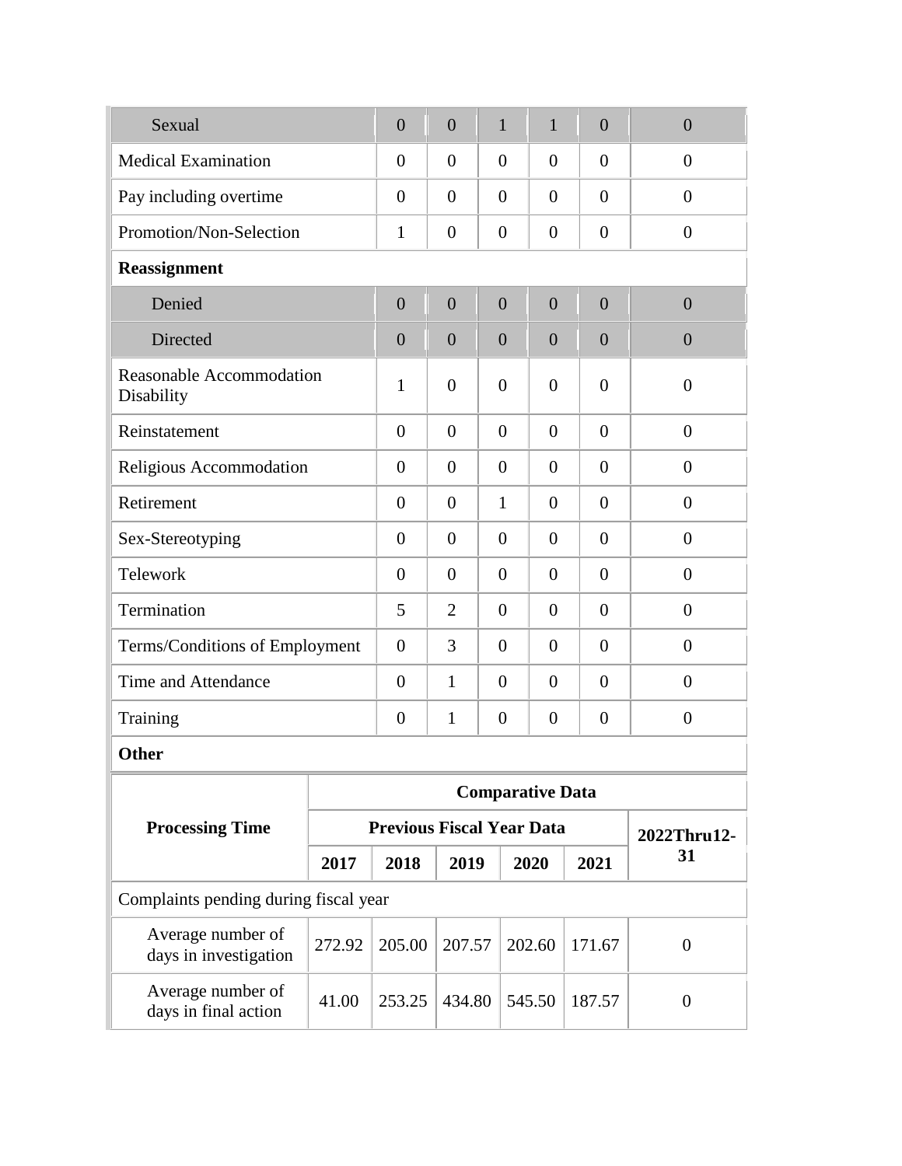| Sexual                                        |        | $\overline{0}$                   | $\overline{0}$ |  | $\mathbf{1}$               | $\mathbf{1}$            | $\overline{0}$ | $\overline{0}$ |
|-----------------------------------------------|--------|----------------------------------|----------------|--|----------------------------|-------------------------|----------------|----------------|
| <b>Medical Examination</b>                    |        | $\overline{0}$                   | $\theta$       |  | $\theta$                   | $\theta$                | $\overline{0}$ | $\overline{0}$ |
| Pay including overtime                        |        | $\overline{0}$                   | $\theta$       |  | $\theta$                   | $\theta$                | $\theta$       | $\overline{0}$ |
| Promotion/Non-Selection                       |        | 1                                | $\theta$       |  | $\theta$                   | $\theta$                | $\overline{0}$ | $\overline{0}$ |
| Reassignment                                  |        |                                  |                |  |                            |                         |                |                |
| Denied                                        |        | $\overline{0}$                   | $\overline{0}$ |  | $\overline{0}$             | $\overline{0}$          | $\overline{0}$ | $\overline{0}$ |
| Directed                                      |        | $\overline{0}$                   | $\overline{0}$ |  | $\overline{0}$             | $\overline{0}$          | $\overline{0}$ | $\overline{0}$ |
| <b>Reasonable Accommodation</b><br>Disability |        | $\mathbf{1}$                     | $\overline{0}$ |  | $\overline{0}$             | $\overline{0}$          | $\overline{0}$ | $\overline{0}$ |
| Reinstatement                                 |        | $\overline{0}$                   | $\theta$       |  | $\overline{0}$             | $\overline{0}$          | $\Omega$       | $\theta$       |
| Religious Accommodation                       |        | $\overline{0}$                   | $\theta$       |  | $\theta$<br>$\overline{0}$ |                         | $\Omega$       | $\overline{0}$ |
| Retirement                                    |        | $\overline{0}$                   | $\theta$       |  | $\mathbf{1}$               | $\overline{0}$          | $\theta$       | $\theta$       |
| Sex-Stereotyping                              |        | $\overline{0}$                   | $\theta$       |  | $\theta$                   | $\overline{0}$          | $\theta$       | $\theta$       |
| Telework                                      |        | $\overline{0}$                   | $\theta$       |  | $\theta$                   | $\theta$                | $\theta$       | $\Omega$       |
| Termination                                   |        | 5                                | $\overline{2}$ |  | $\theta$                   | $\theta$                | $\overline{0}$ | $\overline{0}$ |
| Terms/Conditions of Employment                |        | $\overline{0}$                   | 3              |  | $\theta$                   | $\theta$                | $\overline{0}$ | $\overline{0}$ |
| <b>Time and Attendance</b>                    |        | $\overline{0}$                   | $\mathbf{1}$   |  | $\theta$<br>$\theta$       |                         | $\theta$       | $\overline{0}$ |
| Training                                      |        | $\theta$                         | 1              |  | $\boldsymbol{0}$           | $\boldsymbol{0}$        | $\theta$       | $\theta$       |
| <b>Other</b>                                  |        |                                  |                |  |                            |                         |                |                |
|                                               |        |                                  |                |  |                            | <b>Comparative Data</b> |                |                |
| <b>Processing Time</b>                        |        | <b>Previous Fiscal Year Data</b> |                |  |                            |                         |                | 2022Thru12-    |
|                                               | 2017   | 2018                             | 2019           |  |                            | 2020                    | 2021           | 31             |
| Complaints pending during fiscal year         |        |                                  |                |  |                            |                         |                |                |
| Average number of<br>days in investigation    | 272.92 | 205.00                           | 207.57         |  | 202.60                     |                         | 171.67         | $\overline{0}$ |
| Average number of<br>days in final action     | 41.00  | 253.25                           | 434.80         |  | 545.50                     |                         | 187.57         | $\overline{0}$ |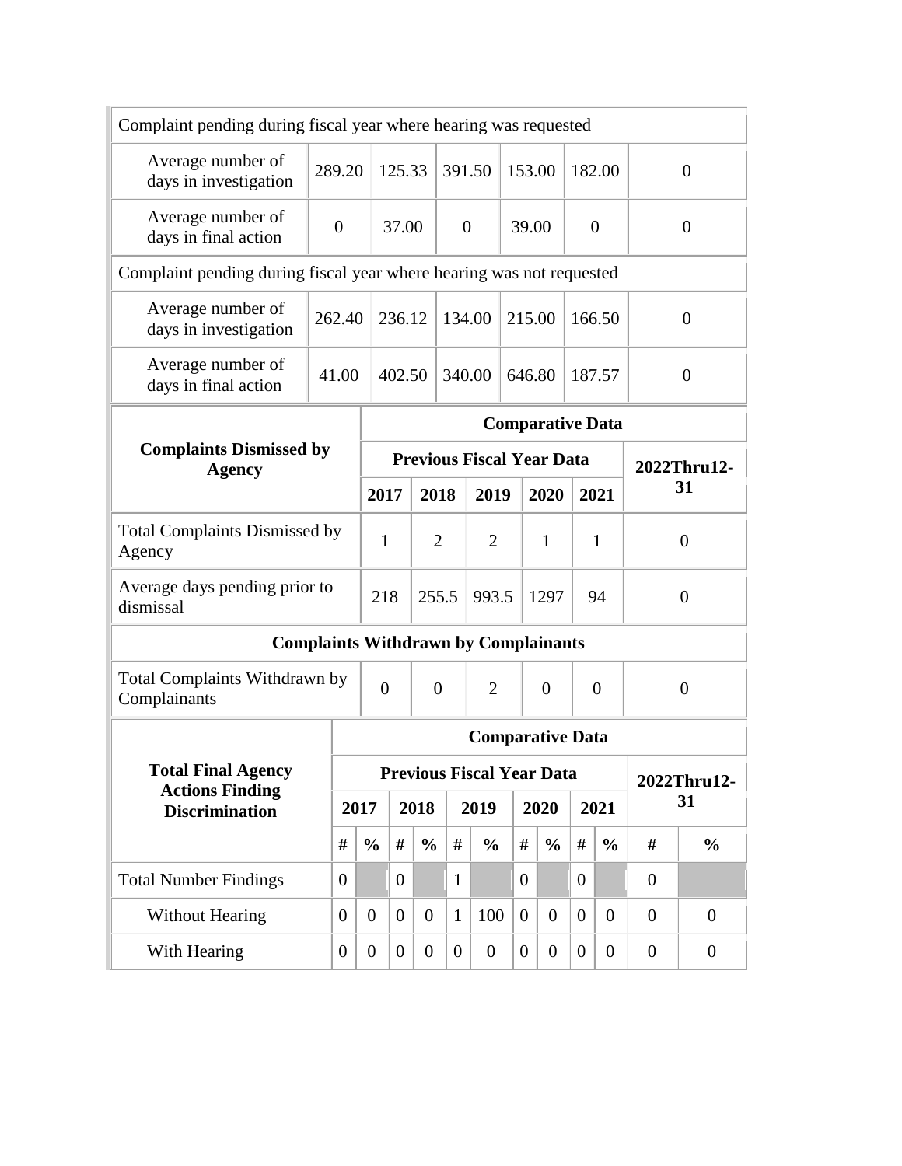| Complaint pending during fiscal year where hearing was requested     |                |                                                                                                                                                                                                   |                                      |                  |                  |                |                                             |                |                         |                |                |                |                |  |
|----------------------------------------------------------------------|----------------|---------------------------------------------------------------------------------------------------------------------------------------------------------------------------------------------------|--------------------------------------|------------------|------------------|----------------|---------------------------------------------|----------------|-------------------------|----------------|----------------|----------------|----------------|--|
| Average number of<br>days in investigation                           | 289.20         |                                                                                                                                                                                                   |                                      | 125.33           |                  |                | 391.50                                      | 153.00         |                         |                | 182.00         |                | $\theta$       |  |
| Average number of<br>days in final action                            | $\overline{0}$ |                                                                                                                                                                                                   |                                      | 37.00            |                  |                | $\overline{0}$                              | 39.00          |                         |                | $\overline{0}$ |                | $\overline{0}$ |  |
| Complaint pending during fiscal year where hearing was not requested |                |                                                                                                                                                                                                   |                                      |                  |                  |                |                                             |                |                         |                |                |                |                |  |
| Average number of<br>days in investigation                           | 262.40         |                                                                                                                                                                                                   |                                      | 236.12           |                  |                | 134.00                                      | 215.00         |                         |                | 166.50         |                | $\theta$       |  |
| Average number of<br>days in final action                            | 41.00          |                                                                                                                                                                                                   |                                      | 402.50           |                  |                | 340.00                                      | 646.80         |                         |                | 187.57         |                | $\overline{0}$ |  |
|                                                                      |                |                                                                                                                                                                                                   |                                      |                  |                  |                |                                             |                | <b>Comparative Data</b> |                |                |                |                |  |
| <b>Complaints Dismissed by</b><br><b>Agency</b>                      |                | <b>Previous Fiscal Year Data</b><br>2022Thru12-                                                                                                                                                   |                                      |                  |                  |                |                                             |                |                         |                |                |                |                |  |
|                                                                      |                |                                                                                                                                                                                                   | 2018<br>2019<br>2020<br>2021<br>2017 |                  |                  |                |                                             |                |                         |                |                |                | 31             |  |
| <b>Total Complaints Dismissed by</b><br>Agency                       |                |                                                                                                                                                                                                   | $\mathbf{1}$                         |                  | $\overline{2}$   | $\overline{2}$ |                                             |                | $\mathbf{1}$            |                | $\mathbf{1}$   |                | $\theta$       |  |
| Average days pending prior to<br>dismissal                           |                |                                                                                                                                                                                                   | 218                                  |                  | 255.5            |                | 993.5                                       |                | 1297                    |                | 94             |                | $\overline{0}$ |  |
|                                                                      |                |                                                                                                                                                                                                   |                                      |                  |                  |                | <b>Complaints Withdrawn by Complainants</b> |                |                         |                |                |                |                |  |
| Total Complaints Withdrawn by<br>Complainants                        |                |                                                                                                                                                                                                   | $\overline{0}$                       |                  | $\overline{0}$   |                | $\overline{2}$                              | $\overline{0}$ |                         | $\overline{0}$ |                | $\overline{0}$ |                |  |
|                                                                      |                |                                                                                                                                                                                                   |                                      |                  |                  |                | <b>Comparative Data</b>                     |                |                         |                |                |                |                |  |
| <b>Total Final Agency</b>                                            |                |                                                                                                                                                                                                   |                                      |                  |                  |                | <b>Previous Fiscal Year Data</b>            |                |                         |                |                |                | 2022Thru12-    |  |
| <b>Actions Finding</b><br><b>Discrimination</b>                      |                |                                                                                                                                                                                                   | 2017                                 |                  | 2018             |                | 2019                                        |                | 2020                    |                | 2021           |                | 31             |  |
|                                                                      | #              |                                                                                                                                                                                                   | $\frac{0}{0}$                        | #                | $\frac{0}{0}$    | #              | $\frac{0}{0}$                               | #              | $\frac{0}{0}$           | #              | $\frac{0}{0}$  | #              | $\frac{0}{0}$  |  |
| <b>Total Number Findings</b>                                         | $\overline{0}$ |                                                                                                                                                                                                   |                                      | $\boldsymbol{0}$ |                  | $\mathbf{1}$   |                                             | $\theta$       |                         | $\overline{0}$ |                | $\overline{0}$ |                |  |
| <b>Without Hearing</b>                                               |                | $\overline{0}$<br>$\overline{0}$<br>100<br>$\overline{0}$<br>$\overline{0}$<br>$\overline{0}$<br>$\overline{0}$<br>$\overline{0}$<br>$\overline{0}$<br>$\mathbf{1}$<br>$\theta$<br>$\overline{0}$ |                                      |                  |                  |                |                                             |                |                         |                |                |                |                |  |
| With Hearing                                                         | $\overline{0}$ |                                                                                                                                                                                                   | $\overline{0}$                       | $\theta$         | $\boldsymbol{0}$ | $\overline{0}$ | $\boldsymbol{0}$                            | $\theta$       | $\boldsymbol{0}$        | $\overline{0}$ | $\overline{0}$ | $\overline{0}$ | $\overline{0}$ |  |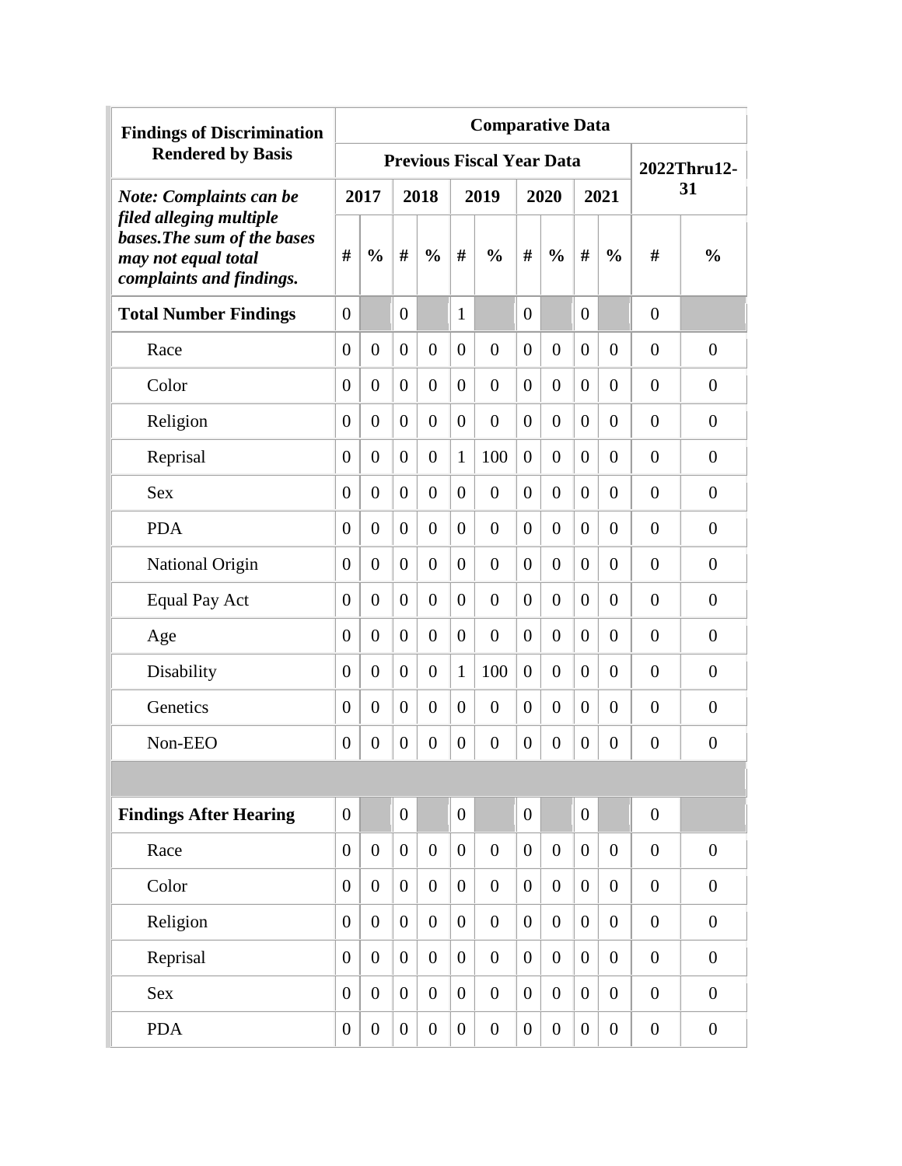| <b>Findings of Discrimination</b>                                                                         |                  |                  |                  |                  |                  | <b>Comparative Data</b>          |                  |                  |                  |                |                  |                  |
|-----------------------------------------------------------------------------------------------------------|------------------|------------------|------------------|------------------|------------------|----------------------------------|------------------|------------------|------------------|----------------|------------------|------------------|
| <b>Rendered by Basis</b>                                                                                  |                  |                  |                  |                  |                  | <b>Previous Fiscal Year Data</b> |                  |                  |                  |                |                  | 2022Thru12-      |
| <b>Note: Complaints can be</b>                                                                            |                  | 2017             |                  | 2018             |                  | 2019                             |                  | 2020             |                  | 2021           |                  | 31               |
| filed alleging multiple<br>bases. The sum of the bases<br>may not equal total<br>complaints and findings. | #                | $\frac{0}{0}$    | #                | $\frac{0}{0}$    | #                | $\frac{0}{0}$                    | #                | $\frac{0}{0}$    | #                | $\frac{0}{0}$  | #                | $\frac{0}{0}$    |
| <b>Total Number Findings</b>                                                                              | $\theta$         |                  | $\theta$         |                  | $\mathbf{1}$     |                                  | $\theta$         |                  | $\overline{0}$   |                | $\overline{0}$   |                  |
| Race                                                                                                      | $\overline{0}$   | $\overline{0}$   | $\theta$         | $\boldsymbol{0}$ | $\theta$         | $\overline{0}$                   | $\theta$         | $\overline{0}$   | $\overline{0}$   | $\overline{0}$ | $\overline{0}$   | $\theta$         |
| Color                                                                                                     | $\overline{0}$   | $\overline{0}$   | $\theta$         | $\overline{0}$   | $\theta$         | $\overline{0}$                   | $\theta$         | $\overline{0}$   | $\overline{0}$   | $\overline{0}$ | $\overline{0}$   | $\theta$         |
| Religion                                                                                                  | $\boldsymbol{0}$ | $\overline{0}$   | $\overline{0}$   | $\boldsymbol{0}$ | $\theta$         | $\overline{0}$                   | $\overline{0}$   | $\boldsymbol{0}$ | $\overline{0}$   | $\overline{0}$ | $\overline{0}$   | $\boldsymbol{0}$ |
| Reprisal                                                                                                  | $\boldsymbol{0}$ | $\overline{0}$   | $\theta$         | $\boldsymbol{0}$ | $\mathbf{1}$     | 100                              | $\overline{0}$   | $\overline{0}$   | $\overline{0}$   | $\overline{0}$ | $\overline{0}$   | $\boldsymbol{0}$ |
| <b>Sex</b>                                                                                                | $\overline{0}$   | $\overline{0}$   | $\theta$         | $\boldsymbol{0}$ | $\theta$         | $\overline{0}$                   | $\overline{0}$   | $\boldsymbol{0}$ | $\overline{0}$   | $\overline{0}$ | $\overline{0}$   | $\overline{0}$   |
| <b>PDA</b>                                                                                                | $\overline{0}$   | $\overline{0}$   | $\theta$         | $\overline{0}$   | $\theta$         | $\overline{0}$                   | $\overline{0}$   | $\boldsymbol{0}$ | $\overline{0}$   | $\overline{0}$ | $\overline{0}$   | $\overline{0}$   |
| National Origin                                                                                           | $\boldsymbol{0}$ | $\boldsymbol{0}$ | $\theta$         | $\overline{0}$   | $\overline{0}$   | $\overline{0}$                   | $\overline{0}$   | $\boldsymbol{0}$ | $\overline{0}$   | $\overline{0}$ | $\boldsymbol{0}$ | $\overline{0}$   |
| <b>Equal Pay Act</b>                                                                                      | $\boldsymbol{0}$ | $\boldsymbol{0}$ | $\theta$         | $\boldsymbol{0}$ | $\overline{0}$   | $\overline{0}$                   | $\overline{0}$   | $\overline{0}$   | $\overline{0}$   | $\overline{0}$ | $\boldsymbol{0}$ | $\overline{0}$   |
| Age                                                                                                       | $\overline{0}$   | $\overline{0}$   | $\theta$         | $\overline{0}$   | $\overline{0}$   | $\overline{0}$                   | $\overline{0}$   | $\overline{0}$   | $\overline{0}$   | $\overline{0}$ | $\boldsymbol{0}$ | $\overline{0}$   |
| Disability                                                                                                | $\overline{0}$   | $\overline{0}$   | $\theta$         | $\boldsymbol{0}$ | $\mathbf{1}$     | 100                              | $\overline{0}$   | $\boldsymbol{0}$ | $\overline{0}$   | $\overline{0}$ | $\boldsymbol{0}$ | $\boldsymbol{0}$ |
| Genetics                                                                                                  | $\boldsymbol{0}$ | $\overline{0}$   | $\theta$         | $\overline{0}$   | $\overline{0}$   | $\overline{0}$                   | $\overline{0}$   | $\overline{0}$   | $\overline{0}$   | $\overline{0}$ | $\overline{0}$   | $\overline{0}$   |
| Non-EEO                                                                                                   | $\boldsymbol{0}$ | $\overline{0}$   | $\theta$         | $\boldsymbol{0}$ | $\theta$         | $\overline{0}$                   | $\overline{0}$   | $\boldsymbol{0}$ | $\overline{0}$   | $\overline{0}$ | $\boldsymbol{0}$ | $\overline{0}$   |
|                                                                                                           |                  |                  |                  |                  |                  |                                  |                  |                  |                  |                |                  |                  |
| <b>Findings After Hearing</b>                                                                             | $\overline{0}$   |                  | $\overline{0}$   |                  | $\overline{0}$   |                                  | $\boldsymbol{0}$ |                  | $\overline{0}$   |                | $\overline{0}$   |                  |
| Race                                                                                                      | $\overline{0}$   | $\overline{0}$   | $\boldsymbol{0}$ | $\overline{0}$   | $\overline{0}$   | $\overline{0}$                   | $\overline{0}$   | $\overline{0}$   | $\overline{0}$   | $\overline{0}$ | $\boldsymbol{0}$ | $\overline{0}$   |
| Color                                                                                                     | $\overline{0}$   | $\overline{0}$   | $\boldsymbol{0}$ | $\overline{0}$   | $\overline{0}$   | $\overline{0}$                   | $\overline{0}$   | $\overline{0}$   | $\boldsymbol{0}$ | $\overline{0}$ | $\boldsymbol{0}$ | $\overline{0}$   |
| Religion                                                                                                  | $\overline{0}$   | $\overline{0}$   | $\boldsymbol{0}$ | $\overline{0}$   | $\overline{0}$   | $\overline{0}$                   | $\overline{0}$   | $\overline{0}$   | $\boldsymbol{0}$ | $\overline{0}$ | $\overline{0}$   | $\overline{0}$   |
| Reprisal                                                                                                  | $\overline{0}$   | $\overline{0}$   | $\boldsymbol{0}$ | $\overline{0}$   | $\overline{0}$   | $\overline{0}$                   | $\overline{0}$   | $\overline{0}$   | $\boldsymbol{0}$ | $\overline{0}$ | $\overline{0}$   | $\overline{0}$   |
| <b>Sex</b>                                                                                                | $\overline{0}$   | $\overline{0}$   | $\overline{0}$   | $\overline{0}$   | $\boldsymbol{0}$ | $\overline{0}$                   | $\overline{0}$   | $\overline{0}$   | $\overline{0}$   | $\overline{0}$ | $\boldsymbol{0}$ | $\overline{0}$   |
| <b>PDA</b>                                                                                                | $\overline{0}$   | $\boldsymbol{0}$ | $\boldsymbol{0}$ | $\boldsymbol{0}$ | $\overline{0}$   | $\overline{0}$                   | $\overline{0}$   | $\boldsymbol{0}$ | $\boldsymbol{0}$ | $\overline{0}$ | $\boldsymbol{0}$ | $\overline{0}$   |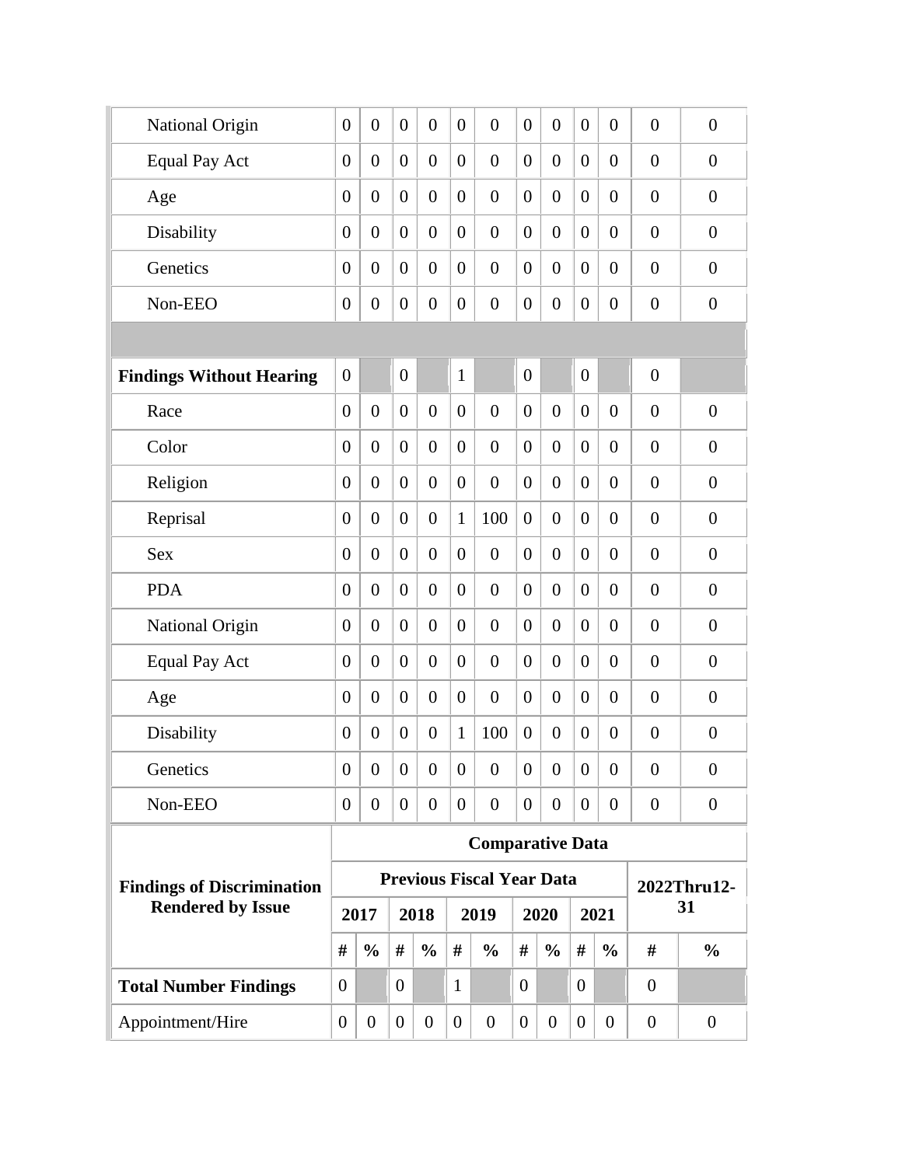| $\overline{0}$   | $\boldsymbol{0}$ | $\overline{0}$        | $\overline{0}$   | $\overline{0}$   | $\overline{0}$   | $\overline{0}$ | $\overline{0}$   | $\overline{0}$   | $\overline{0}$                   | $\overline{0}$                  | $\boldsymbol{0}$ |
|------------------|------------------|-----------------------|------------------|------------------|------------------|----------------|------------------|------------------|----------------------------------|---------------------------------|------------------|
| $\overline{0}$   | $\boldsymbol{0}$ | $\overline{0}$        | $\overline{0}$   | $\boldsymbol{0}$ | $\overline{0}$   | $\overline{0}$ | $\overline{0}$   | $\boldsymbol{0}$ | $\overline{0}$                   | $\overline{0}$                  | $\boldsymbol{0}$ |
| $\overline{0}$   | $\boldsymbol{0}$ | $\overline{0}$        | $\overline{0}$   | $\overline{0}$   | $\overline{0}$   | $\overline{0}$ | $\overline{0}$   | $\boldsymbol{0}$ | $\overline{0}$                   | $\overline{0}$                  | $\boldsymbol{0}$ |
| $\overline{0}$   | $\boldsymbol{0}$ | $\overline{0}$        | $\overline{0}$   | $\overline{0}$   | $\overline{0}$   | $\overline{0}$ | $\overline{0}$   | $\boldsymbol{0}$ | $\overline{0}$                   | $\overline{0}$                  | $\boldsymbol{0}$ |
| $\overline{0}$   | $\overline{0}$   | $\overline{0}$        | $\overline{0}$   | $\overline{0}$   | $\overline{0}$   | $\overline{0}$ | $\overline{0}$   | $\overline{0}$   | $\overline{0}$                   | $\overline{0}$                  | $\overline{0}$   |
| $\overline{0}$   | $\boldsymbol{0}$ | $\theta$              | $\boldsymbol{0}$ | $\boldsymbol{0}$ | $\overline{0}$   | $\overline{0}$ | $\boldsymbol{0}$ | $\boldsymbol{0}$ | $\overline{0}$                   | $\overline{0}$                  | $\overline{0}$   |
|                  |                  |                       |                  |                  |                  |                |                  |                  |                                  |                                 |                  |
| $\overline{0}$   |                  | $\overline{0}$        |                  | $\mathbf{1}$     |                  | $\overline{0}$ |                  | $\boldsymbol{0}$ |                                  | $\overline{0}$                  |                  |
| $\overline{0}$   | $\overline{0}$   | $\overline{0}$        | $\overline{0}$   | $\overline{0}$   | $\overline{0}$   | $\overline{0}$ | $\overline{0}$   | $\overline{0}$   | $\overline{0}$                   | $\overline{0}$                  | $\overline{0}$   |
| $\overline{0}$   | $\overline{0}$   | $\overline{0}$        | $\overline{0}$   | $\overline{0}$   | $\overline{0}$   | $\overline{0}$ | $\overline{0}$   | $\boldsymbol{0}$ | $\overline{0}$                   | $\overline{0}$                  | $\overline{0}$   |
| $\overline{0}$   | $\overline{0}$   | $\overline{0}$        | $\overline{0}$   | $\overline{0}$   | $\overline{0}$   | $\overline{0}$ | $\overline{0}$   | $\boldsymbol{0}$ | $\overline{0}$                   | $\overline{0}$                  | $\overline{0}$   |
| $\overline{0}$   | $\overline{0}$   | $\overline{0}$        | $\boldsymbol{0}$ | $\mathbf{1}$     | 100              | $\overline{0}$ | $\overline{0}$   | $\boldsymbol{0}$ | $\overline{0}$                   | $\boldsymbol{0}$                | $\overline{0}$   |
| $\overline{0}$   | $\boldsymbol{0}$ | $\overline{0}$        | $\overline{0}$   | $\overline{0}$   | $\overline{0}$   | $\overline{0}$ | $\overline{0}$   | $\boldsymbol{0}$ | $\overline{0}$                   | $\boldsymbol{0}$                | $\boldsymbol{0}$ |
| $\overline{0}$   | $\overline{0}$   | $\overline{0}$        | $\overline{0}$   | $\overline{0}$   | $\overline{0}$   | $\overline{0}$ | $\overline{0}$   | $\boldsymbol{0}$ | $\overline{0}$                   | $\boldsymbol{0}$                | $\overline{0}$   |
| $\overline{0}$   | $\overline{0}$   | $\overline{0}$        | $\overline{0}$   | $\overline{0}$   | $\overline{0}$   | $\overline{0}$ | $\overline{0}$   | $\boldsymbol{0}$ | $\overline{0}$                   | $\overline{0}$                  | $\boldsymbol{0}$ |
| $\overline{0}$   | $\boldsymbol{0}$ | $\overline{0}$        | $\boldsymbol{0}$ | $\overline{0}$   | $\overline{0}$   | $\overline{0}$ | $\overline{0}$   | $\boldsymbol{0}$ | $\overline{0}$                   | $\overline{0}$                  | $\boldsymbol{0}$ |
| $\overline{0}$   | $\overline{0}$   | $\overline{0}$        | $\overline{0}$   | $\overline{0}$   | $\boldsymbol{0}$ | $\overline{0}$ | $\overline{0}$   | $\boldsymbol{0}$ | $\overline{0}$                   | $\overline{0}$                  | $\boldsymbol{0}$ |
| $\boldsymbol{0}$ | $\boldsymbol{0}$ | $\overline{0}$        | $\boldsymbol{0}$ | $\mathbf{1}$     | 100              | $\overline{0}$ | $\boldsymbol{0}$ | $\overline{0}$   | $\overline{0}$                   | $\overline{0}$                  | $\overline{0}$   |
| $\overline{0}$   | $\overline{0}$   | $\overline{0}$        | $\boldsymbol{0}$ | $\theta$         | $\overline{0}$   | $\overline{0}$ | $\overline{0}$   | $\boldsymbol{0}$ | $\overline{0}$                   | $\overline{0}$                  | $\boldsymbol{0}$ |
| $\overline{0}$   | $\boldsymbol{0}$ | $\boldsymbol{0}$      | $\overline{0}$   | $\boldsymbol{0}$ | $\boldsymbol{0}$ | $\overline{0}$ | $\boldsymbol{0}$ | $\boldsymbol{0}$ | $\boldsymbol{0}$                 | $\overline{0}$                  | $\overline{0}$   |
|                  |                  |                       |                  |                  |                  |                |                  |                  |                                  |                                 |                  |
|                  |                  |                       |                  |                  |                  |                |                  |                  |                                  |                                 | 2022Thru12-      |
|                  |                  |                       |                  |                  |                  |                |                  |                  |                                  |                                 | 31               |
|                  |                  | #                     | $\frac{0}{0}$    | #                | $\frac{0}{0}$    | #              | $\frac{0}{0}$    | #                | $\frac{0}{0}$                    | #                               | $\frac{0}{0}$    |
| #                |                  |                       |                  |                  |                  |                |                  |                  |                                  |                                 |                  |
| $\theta$         |                  | $\theta$              |                  | $\mathbf{1}$     |                  | $\overline{0}$ |                  | $\overline{0}$   |                                  | $\overline{0}$                  |                  |
|                  |                  | 2017<br>$\frac{0}{0}$ |                  | 2018             |                  | 2019           |                  | 2020             | <b>Previous Fiscal Year Data</b> | <b>Comparative Data</b><br>2021 |                  |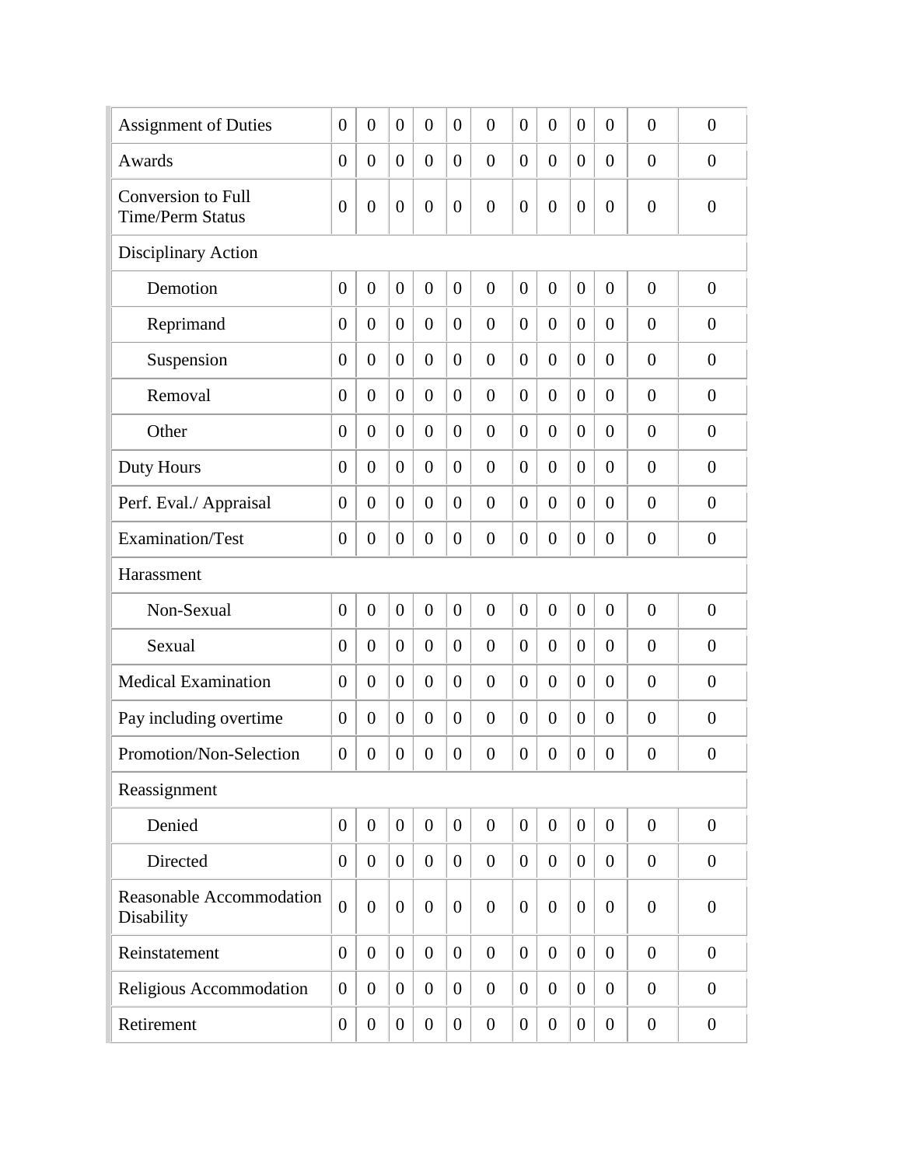| <b>Assignment of Duties</b>                          | $\theta$         | $\overline{0}$   | $\theta$         | $\overline{0}$   | $\overline{0}$ | $\overline{0}$   | $\overline{0}$   | $\boldsymbol{0}$ | $\overline{0}$   | $\boldsymbol{0}$ | $\overline{0}$   | $\overline{0}$   |
|------------------------------------------------------|------------------|------------------|------------------|------------------|----------------|------------------|------------------|------------------|------------------|------------------|------------------|------------------|
| Awards                                               | $\overline{0}$   | $\overline{0}$   | $\theta$         | $\overline{0}$   | $\overline{0}$ | $\theta$         | $\overline{0}$   | $\boldsymbol{0}$ | $\theta$         | $\overline{0}$   | $\overline{0}$   | $\overline{0}$   |
| <b>Conversion to Full</b><br><b>Time/Perm Status</b> | $\boldsymbol{0}$ | $\overline{0}$   | $\overline{0}$   | $\overline{0}$   | $\theta$       | $\overline{0}$   | $\overline{0}$   | $\boldsymbol{0}$ | $\overline{0}$   | $\boldsymbol{0}$ | $\overline{0}$   | $\overline{0}$   |
| Disciplinary Action                                  |                  |                  |                  |                  |                |                  |                  |                  |                  |                  |                  |                  |
| Demotion                                             | $\overline{0}$   | $\overline{0}$   | $\overline{0}$   | $\boldsymbol{0}$ | $\overline{0}$ | $\overline{0}$   | $\overline{0}$   | $\overline{0}$   | $\overline{0}$   | $\boldsymbol{0}$ | $\overline{0}$   | $\overline{0}$   |
| Reprimand                                            | $\overline{0}$   | $\overline{0}$   | $\overline{0}$   | $\overline{0}$   | $\overline{0}$ | $\overline{0}$   | $\overline{0}$   | $\boldsymbol{0}$ | $\overline{0}$   | $\overline{0}$   | $\overline{0}$   | $\overline{0}$   |
| Suspension                                           | $\overline{0}$   | $\overline{0}$   | $\overline{0}$   | $\overline{0}$   | $\overline{0}$ | $\overline{0}$   | $\overline{0}$   | $\overline{0}$   | $\overline{0}$   | $\overline{0}$   | $\overline{0}$   | $\overline{0}$   |
| Removal                                              | $\overline{0}$   | $\overline{0}$   | $\overline{0}$   | $\overline{0}$   | $\overline{0}$ | $\overline{0}$   | $\overline{0}$   | $\overline{0}$   | $\overline{0}$   | $\overline{0}$   | $\overline{0}$   | $\overline{0}$   |
| Other                                                | $\overline{0}$   | $\overline{0}$   | $\overline{0}$   | $\overline{0}$   | $\theta$       | $\overline{0}$   | $\overline{0}$   | $\overline{0}$   | $\overline{0}$   | $\overline{0}$   | $\overline{0}$   | $\overline{0}$   |
| Duty Hours                                           | $\overline{0}$   | $\overline{0}$   | $\overline{0}$   | $\overline{0}$   | $\theta$       | $\overline{0}$   | $\overline{0}$   | $\overline{0}$   | $\overline{0}$   | $\overline{0}$   | $\overline{0}$   | $\overline{0}$   |
| Perf. Eval./ Appraisal                               | $\overline{0}$   | $\overline{0}$   | $\overline{0}$   | $\boldsymbol{0}$ | $\theta$       | $\overline{0}$   | $\overline{0}$   | $\boldsymbol{0}$ | $\overline{0}$   | $\overline{0}$   | $\overline{0}$   | $\overline{0}$   |
| Examination/Test                                     | $\boldsymbol{0}$ | $\overline{0}$   | $\boldsymbol{0}$ | $\boldsymbol{0}$ | $\overline{0}$ | $\overline{0}$   | $\overline{0}$   | $\boldsymbol{0}$ | $\overline{0}$   | $\boldsymbol{0}$ | $\overline{0}$   | $\overline{0}$   |
| Harassment                                           |                  |                  |                  |                  |                |                  |                  |                  |                  |                  |                  |                  |
| Non-Sexual                                           | $\overline{0}$   | $\overline{0}$   | $\overline{0}$   | $\overline{0}$   | $\overline{0}$ | $\overline{0}$   | $\overline{0}$   | $\boldsymbol{0}$ | $\overline{0}$   | $\boldsymbol{0}$ | $\overline{0}$   | $\overline{0}$   |
| Sexual                                               | $\overline{0}$   | $\theta$         | $\theta$         | $\overline{0}$   | $\theta$       | $\overline{0}$   | $\overline{0}$   | $\boldsymbol{0}$ | $\theta$         | $\overline{0}$   | $\overline{0}$   | $\overline{0}$   |
| <b>Medical Examination</b>                           | $\overline{0}$   | $\boldsymbol{0}$ | $\theta$         | $\overline{0}$   | $\overline{0}$ | $\overline{0}$   | $\overline{0}$   | $\boldsymbol{0}$ | $\theta$         | $\overline{0}$   | $\overline{0}$   | $\theta$         |
| Pay including overtime                               | $\overline{0}$   | $\overline{0}$   | $\boldsymbol{0}$ | $\overline{0}$   | $\overline{0}$ | $\overline{0}$   | $\overline{0}$   | $\boldsymbol{0}$ | $\overline{0}$   | $\overline{0}$   | $\theta$         | $\theta$         |
| Promotion/Non-Selection                              | $\boldsymbol{0}$ | $\boldsymbol{0}$ | $\boldsymbol{0}$ | $\boldsymbol{0}$ | $\overline{0}$ | $\overline{0}$   | $\overline{0}$   | $\boldsymbol{0}$ | $\boldsymbol{0}$ | $\boldsymbol{0}$ | $\overline{0}$   | $\overline{0}$   |
| Reassignment                                         |                  |                  |                  |                  |                |                  |                  |                  |                  |                  |                  |                  |
| Denied                                               | $\overline{0}$   | $\overline{0}$   | $\overline{0}$   | $\overline{0}$   | $\mathbf{0}$   | $\overline{0}$   | $\boldsymbol{0}$ | $\overline{0}$   | $\overline{0}$   | $\overline{0}$   | $\overline{0}$   | $\overline{0}$   |
| Directed                                             | $\overline{0}$   | $\overline{0}$   | $\boldsymbol{0}$ | $\overline{0}$   | $\mathbf{0}$   | $\overline{0}$   | $\overline{0}$   | $\boldsymbol{0}$ | $\overline{0}$   | $\boldsymbol{0}$ | $\overline{0}$   | $\overline{0}$   |
| Reasonable Accommodation<br>Disability               | $\overline{0}$   | $\overline{0}$   | $\boldsymbol{0}$ | $\overline{0}$   | $\overline{0}$ | $\overline{0}$   | $\overline{0}$   | $\overline{0}$   | $\overline{0}$   | $\overline{0}$   | $\overline{0}$   | $\overline{0}$   |
| Reinstatement                                        | $\overline{0}$   | $\overline{0}$   | $\overline{0}$   | $\overline{0}$   | $\overline{0}$ | $\overline{0}$   | $\theta$         | $\overline{0}$   | $\overline{0}$   | $\overline{0}$   | $\overline{0}$   | $\overline{0}$   |
| Religious Accommodation                              | $\boldsymbol{0}$ | $\overline{0}$   | $\boldsymbol{0}$ | $\overline{0}$   | $\overline{0}$ | $\overline{0}$   | $\overline{0}$   | $\overline{0}$   | $\overline{0}$   | $\overline{0}$   | $\overline{0}$   | $\overline{0}$   |
| Retirement                                           | $\overline{0}$   | $\boldsymbol{0}$ | $\boldsymbol{0}$ | $\boldsymbol{0}$ | $\overline{0}$ | $\boldsymbol{0}$ | $\boldsymbol{0}$ | $\boldsymbol{0}$ | $\overline{0}$   | $\boldsymbol{0}$ | $\boldsymbol{0}$ | $\boldsymbol{0}$ |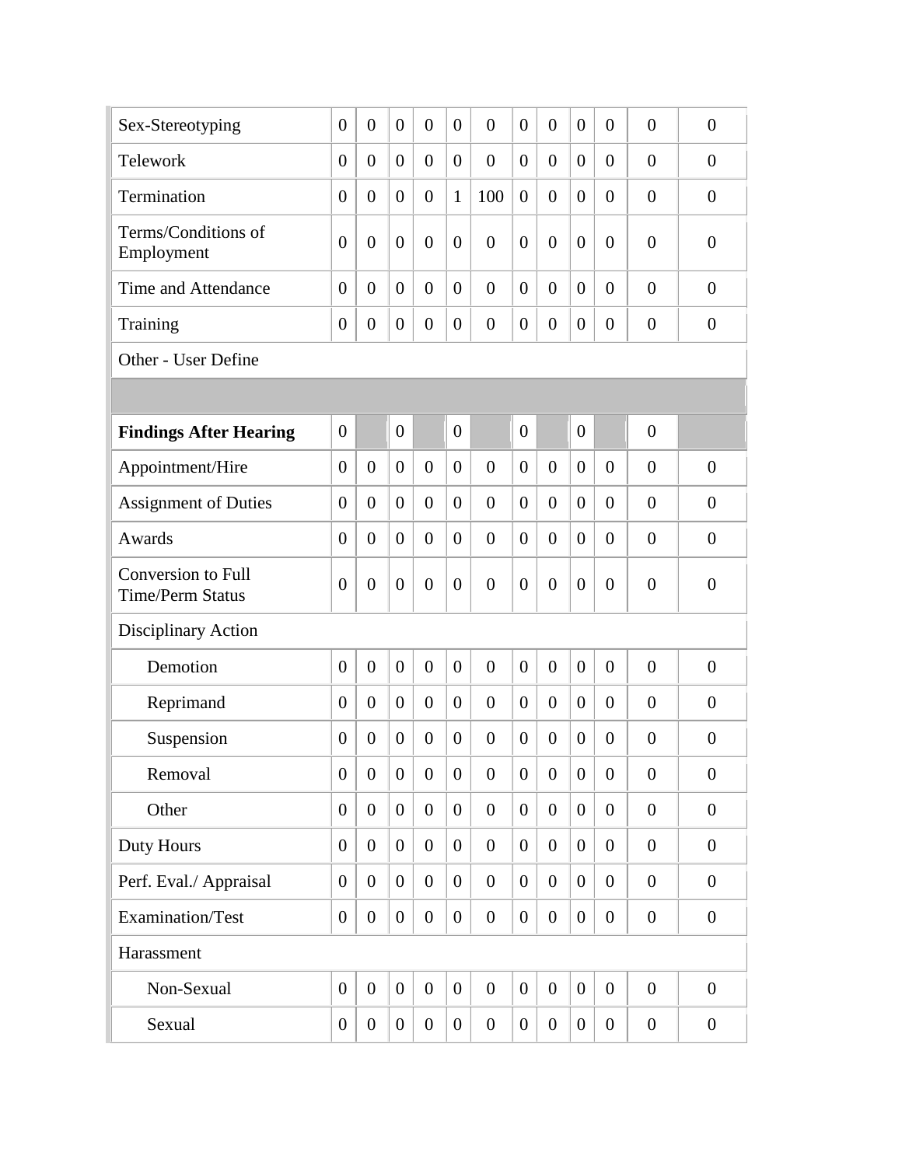| Sex-Stereotyping                                     | $\overline{0}$   | $\overline{0}$   | $\overline{0}$   | $\overline{0}$   | $\overline{0}$   | $\overline{0}$ | $\overline{0}$   | $\overline{0}$   | $\overline{0}$   | $\overline{0}$ | $\theta$         | $\overline{0}$   |
|------------------------------------------------------|------------------|------------------|------------------|------------------|------------------|----------------|------------------|------------------|------------------|----------------|------------------|------------------|
| Telework                                             | $\overline{0}$   | $\overline{0}$   | $\overline{0}$   | $\overline{0}$   | $\overline{0}$   | $\overline{0}$ | $\overline{0}$   | $\overline{0}$   | $\overline{0}$   | $\overline{0}$ | $\theta$         | $\overline{0}$   |
| Termination                                          | $\overline{0}$   | $\overline{0}$   | $\overline{0}$   | $\mathbf{0}$     | 1                | 100            | $\overline{0}$   | $\overline{0}$   | $\theta$         | $\overline{0}$ | $\overline{0}$   | $\overline{0}$   |
| Terms/Conditions of<br>Employment                    | $\overline{0}$   | $\overline{0}$   | $\overline{0}$   | $\overline{0}$   | $\boldsymbol{0}$ | $\overline{0}$ | $\overline{0}$   | $\overline{0}$   | $\overline{0}$   | $\overline{0}$ | $\overline{0}$   | $\boldsymbol{0}$ |
| Time and Attendance                                  | $\overline{0}$   | $\overline{0}$   | $\overline{0}$   | $\overline{0}$   | $\overline{0}$   | $\overline{0}$ | $\overline{0}$   | $\overline{0}$   | $\overline{0}$   | $\overline{0}$ | $\theta$         | $\overline{0}$   |
| Training                                             | $\overline{0}$   | $\overline{0}$   | $\overline{0}$   | $\overline{0}$   | $\overline{0}$   | $\overline{0}$ | $\overline{0}$   | $\overline{0}$   | $\overline{0}$   | $\overline{0}$ | $\overline{0}$   | $\overline{0}$   |
| Other - User Define                                  |                  |                  |                  |                  |                  |                |                  |                  |                  |                |                  |                  |
|                                                      |                  |                  |                  |                  |                  |                |                  |                  |                  |                |                  |                  |
| <b>Findings After Hearing</b>                        | $\overline{0}$   |                  | $\overline{0}$   |                  | $\overline{0}$   |                | $\overline{0}$   |                  | $\overline{0}$   |                | $\overline{0}$   |                  |
| Appointment/Hire                                     | $\overline{0}$   | $\overline{0}$   | $\overline{0}$   | $\overline{0}$   | $\overline{0}$   | $\overline{0}$ | $\overline{0}$   | $\overline{0}$   | $\overline{0}$   | $\overline{0}$ | $\overline{0}$   | $\overline{0}$   |
| <b>Assignment of Duties</b>                          | $\overline{0}$   | $\overline{0}$   | $\overline{0}$   | $\overline{0}$   | $\overline{0}$   | $\overline{0}$ | $\overline{0}$   | $\overline{0}$   | $\overline{0}$   | $\overline{0}$ | $\overline{0}$   | $\overline{0}$   |
| Awards                                               | $\overline{0}$   | $\overline{0}$   | $\overline{0}$   | $\overline{0}$   | $\overline{0}$   | $\overline{0}$ | $\overline{0}$   | $\overline{0}$   | $\overline{0}$   | $\overline{0}$ | $\overline{0}$   | $\overline{0}$   |
| <b>Conversion to Full</b><br><b>Time/Perm Status</b> | $\overline{0}$   | $\overline{0}$   | $\overline{0}$   | $\overline{0}$   | $\overline{0}$   | $\overline{0}$ | $\overline{0}$   | $\overline{0}$   | $\overline{0}$   | $\overline{0}$ | $\overline{0}$   | $\overline{0}$   |
| Disciplinary Action                                  |                  |                  |                  |                  |                  |                |                  |                  |                  |                |                  |                  |
| Demotion                                             | $\overline{0}$   | $\overline{0}$   | $\overline{0}$   | $\overline{0}$   | $\overline{0}$   | $\overline{0}$ | $\overline{0}$   | $\overline{0}$   | $\overline{0}$   | $\overline{0}$ | $\overline{0}$   | $\overline{0}$   |
| Reprimand                                            | $\overline{0}$   | $\overline{0}$   | $\overline{0}$   | $\mathbf{0}$     | $\overline{0}$   | $\overline{0}$ | $\boldsymbol{0}$ | $\overline{0}$   | $\overline{0}$   | $\overline{0}$ | $\overline{0}$   | $\overline{0}$   |
| Suspension                                           | $\boldsymbol{0}$ | $\overline{0}$   | $\overline{0}$   | $\overline{0}$   | $\overline{0}$   | $\overline{0}$ | $\boldsymbol{0}$ | $\overline{0}$   | $\overline{0}$   | $\overline{0}$ | $\overline{0}$   | $\overline{0}$   |
| Removal                                              | $\overline{0}$   | $\overline{0}$   | $\overline{0}$   | $\overline{0}$   | $\overline{0}$   | $\overline{0}$ | $\boldsymbol{0}$ | $\overline{0}$   | $\overline{0}$   | $\overline{0}$ | $\overline{0}$   | $\boldsymbol{0}$ |
| Other                                                | $\boldsymbol{0}$ | $\overline{0}$   | $\boldsymbol{0}$ | $\boldsymbol{0}$ | $\overline{0}$   | $\overline{0}$ | $\boldsymbol{0}$ | $\overline{0}$   | $\overline{0}$   | $\overline{0}$ | $\overline{0}$   | $\overline{0}$   |
| Duty Hours                                           | $\overline{0}$   | $\overline{0}$   | $\overline{0}$   | $\boldsymbol{0}$ | $\overline{0}$   | $\overline{0}$ | $\overline{0}$   | $\overline{0}$   | $\overline{0}$   | $\overline{0}$ | $\overline{0}$   | $\overline{0}$   |
| Perf. Eval./ Appraisal                               | $\overline{0}$   | $\overline{0}$   | $\boldsymbol{0}$ | $\overline{0}$   | $\overline{0}$   | $\overline{0}$ | $\overline{0}$   | $\overline{0}$   | $\overline{0}$   | $\overline{0}$ | $\overline{0}$   | $\overline{0}$   |
| <b>Examination/Test</b>                              | $\boldsymbol{0}$ | $\overline{0}$   | $\boldsymbol{0}$ | $\boldsymbol{0}$ | $\overline{0}$   | $\overline{0}$ | $\overline{0}$   | $\boldsymbol{0}$ | $\overline{0}$   | $\overline{0}$ | $\boldsymbol{0}$ | $\overline{0}$   |
| Harassment                                           |                  |                  |                  |                  |                  |                |                  |                  |                  |                |                  |                  |
| Non-Sexual                                           | $\boldsymbol{0}$ | $\overline{0}$   | $\overline{0}$   | $\boldsymbol{0}$ | $\overline{0}$   | $\overline{0}$ | $\overline{0}$   | $\overline{0}$   | $\overline{0}$   | $\overline{0}$ | $\overline{0}$   | $\overline{0}$   |
| Sexual                                               | $\boldsymbol{0}$ | $\boldsymbol{0}$ | $\boldsymbol{0}$ | $\boldsymbol{0}$ | $\overline{0}$   | $\overline{0}$ | $\overline{0}$   | $\boldsymbol{0}$ | $\boldsymbol{0}$ | $\overline{0}$ | $\boldsymbol{0}$ | $\overline{0}$   |
|                                                      |                  |                  |                  |                  |                  |                |                  |                  |                  |                |                  |                  |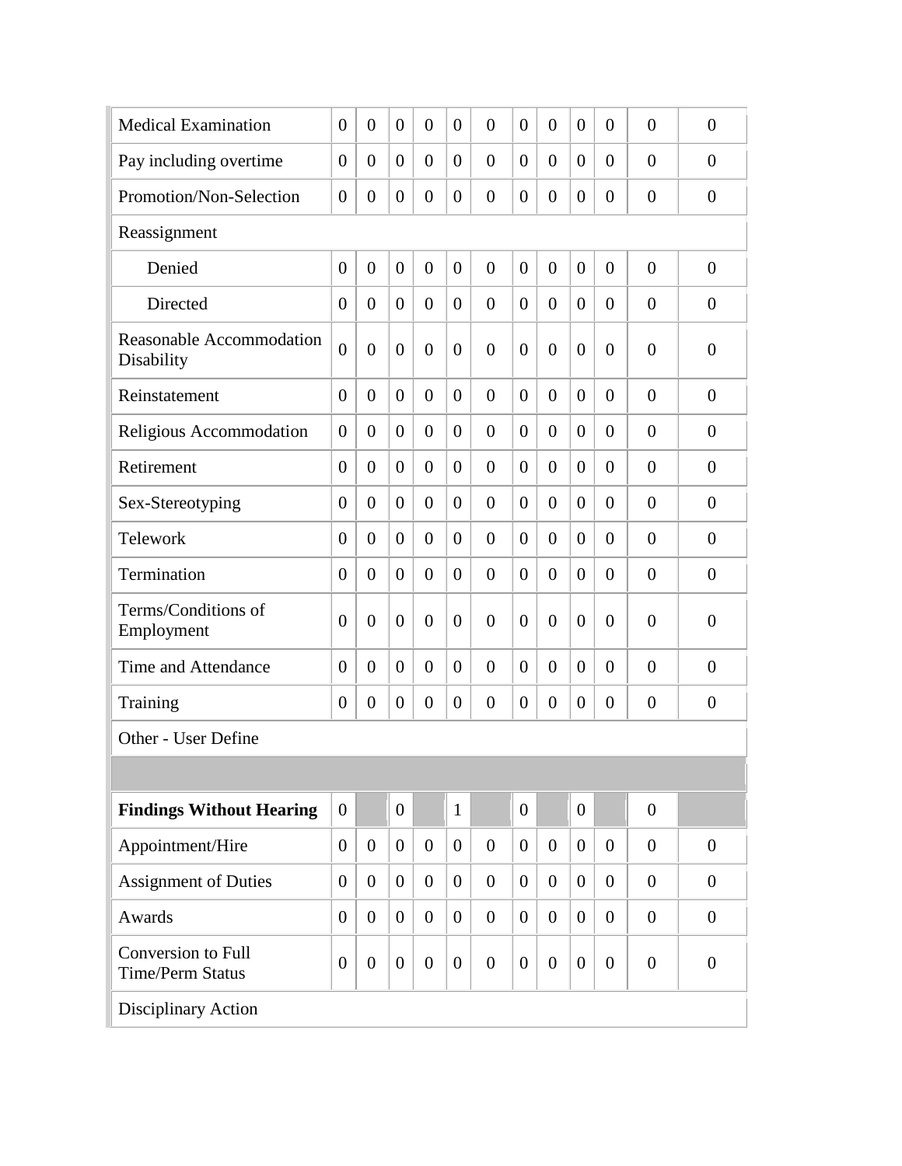| <b>Medical Examination</b>                           | $\theta$         | $\theta$       | $\theta$         | $\overline{0}$   | $\overline{0}$ | $\overline{0}$ | $\overline{0}$ | $\overline{0}$   | $\theta$         | $\overline{0}$   | $\overline{0}$ | $\overline{0}$ |
|------------------------------------------------------|------------------|----------------|------------------|------------------|----------------|----------------|----------------|------------------|------------------|------------------|----------------|----------------|
| Pay including overtime                               | $\overline{0}$   | $\theta$       | $\theta$         | $\overline{0}$   | $\theta$       | $\overline{0}$ | $\theta$       | $\boldsymbol{0}$ | $\theta$         | $\overline{0}$   | $\theta$       | $\theta$       |
| Promotion/Non-Selection                              | $\boldsymbol{0}$ | $\overline{0}$ | $\theta$         | $\boldsymbol{0}$ | $\theta$       | $\overline{0}$ | $\overline{0}$ | $\boldsymbol{0}$ | $\theta$         | $\boldsymbol{0}$ | $\overline{0}$ | $\overline{0}$ |
| Reassignment                                         |                  |                |                  |                  |                |                |                |                  |                  |                  |                |                |
| Denied                                               | $\overline{0}$   | $\overline{0}$ | $\overline{0}$   | $\overline{0}$   | $\overline{0}$ | $\overline{0}$ | $\overline{0}$ | $\boldsymbol{0}$ | $\overline{0}$   | $\boldsymbol{0}$ | $\overline{0}$ | $\overline{0}$ |
| Directed                                             | $\boldsymbol{0}$ | $\overline{0}$ | $\overline{0}$   | $\overline{0}$   | $\theta$       | $\overline{0}$ | $\overline{0}$ | $\boldsymbol{0}$ | $\overline{0}$   | $\boldsymbol{0}$ | $\overline{0}$ | $\overline{0}$ |
| Reasonable Accommodation<br>Disability               | $\overline{0}$   | $\overline{0}$ | $\boldsymbol{0}$ | $\overline{0}$   | $\overline{0}$ | $\overline{0}$ | $\overline{0}$ | $\overline{0}$   | $\overline{0}$   | $\overline{0}$   | $\overline{0}$ | $\overline{0}$ |
| Reinstatement                                        | $\overline{0}$   | $\overline{0}$ | $\overline{0}$   | $\overline{0}$   | $\theta$       | $\overline{0}$ | $\overline{0}$ | $\overline{0}$   | $\overline{0}$   | $\overline{0}$   | $\overline{0}$ | $\overline{0}$ |
| Religious Accommodation                              | $\overline{0}$   | $\overline{0}$ | $\theta$         | $\overline{0}$   | $\theta$       | $\overline{0}$ | $\overline{0}$ | $\overline{0}$   | $\overline{0}$   | $\overline{0}$   | $\overline{0}$ | $\overline{0}$ |
| Retirement                                           | $\overline{0}$   | $\overline{0}$ | $\overline{0}$   | $\overline{0}$   | $\theta$       | $\overline{0}$ | $\overline{0}$ | $\overline{0}$   | $\overline{0}$   | $\overline{0}$   | $\overline{0}$ | $\overline{0}$ |
| Sex-Stereotyping                                     | $\overline{0}$   | $\theta$       | $\theta$         | $\overline{0}$   | $\Omega$       | $\overline{0}$ | $\overline{0}$ | $\overline{0}$   | $\Omega$         | $\overline{0}$   | $\theta$       | $\overline{0}$ |
| Telework                                             | $\overline{0}$   | $\theta$       | $\theta$         | $\overline{0}$   | $\theta$       | $\overline{0}$ | $\overline{0}$ | $\boldsymbol{0}$ | $\overline{0}$   | $\overline{0}$   | $\overline{0}$ | $\overline{0}$ |
| Termination                                          | $\overline{0}$   | $\overline{0}$ | $\theta$         | $\overline{0}$   | $\theta$       | $\overline{0}$ | $\theta$       | $\boldsymbol{0}$ | $\overline{0}$   | $\overline{0}$   | $\overline{0}$ | $\overline{0}$ |
| Terms/Conditions of<br>Employment                    | $\overline{0}$   | $\theta$       | $\boldsymbol{0}$ | $\overline{0}$   | $\theta$       | $\overline{0}$ | $\overline{0}$ | $\overline{0}$   | $\theta$         | $\overline{0}$   | $\overline{0}$ | $\overline{0}$ |
| Time and Attendance                                  | $\overline{0}$   | $\theta$       | $\overline{0}$   | $\overline{0}$   | $\theta$       | $\overline{0}$ | $\overline{0}$ | $\overline{0}$   | $\overline{0}$   | $\overline{0}$   | $\overline{0}$ | $\overline{0}$ |
| Training                                             | $\boldsymbol{0}$ | $\overline{0}$ | $\boldsymbol{0}$ | $\boldsymbol{0}$ | $\overline{0}$ | $\overline{0}$ | $\overline{0}$ | $\boldsymbol{0}$ | $\boldsymbol{0}$ | $\boldsymbol{0}$ | $\overline{0}$ | $\overline{0}$ |
| Other - User Define                                  |                  |                |                  |                  |                |                |                |                  |                  |                  |                |                |
|                                                      |                  |                |                  |                  |                |                |                |                  |                  |                  |                |                |
| <b>Findings Without Hearing</b>                      | $\overline{0}$   |                | $\overline{0}$   |                  | $\mathbf{1}$   |                | $\overline{0}$ |                  | $\overline{0}$   |                  | $\overline{0}$ |                |
| Appointment/Hire                                     | $\overline{0}$   | $\overline{0}$ | $\overline{0}$   | $\overline{0}$   | $\overline{0}$ | $\overline{0}$ | $\overline{0}$ | $\overline{0}$   | $\overline{0}$   | $\theta$         | $\overline{0}$ | $\overline{0}$ |
| <b>Assignment of Duties</b>                          | $\overline{0}$   | $\overline{0}$ | $\overline{0}$   | $\overline{0}$   | $\overline{0}$ | $\overline{0}$ | $\overline{0}$ | $\overline{0}$   | $\overline{0}$   | $\overline{0}$   | $\overline{0}$ | $\overline{0}$ |
| Awards                                               | $\overline{0}$   | $\overline{0}$ | $\overline{0}$   | $\overline{0}$   | $\overline{0}$ | $\overline{0}$ | $\overline{0}$ | $\overline{0}$   | $\overline{0}$   | $\overline{0}$   | $\overline{0}$ | $\overline{0}$ |
| <b>Conversion to Full</b><br><b>Time/Perm Status</b> | $\overline{0}$   | $\overline{0}$ | $\overline{0}$   | $\boldsymbol{0}$ | $\overline{0}$ | $\overline{0}$ | $\overline{0}$ | $\overline{0}$   | $\overline{0}$   | $\overline{0}$   | $\overline{0}$ | $\overline{0}$ |
| Disciplinary Action                                  |                  |                |                  |                  |                |                |                |                  |                  |                  |                |                |
|                                                      |                  |                |                  |                  |                |                |                |                  |                  |                  |                |                |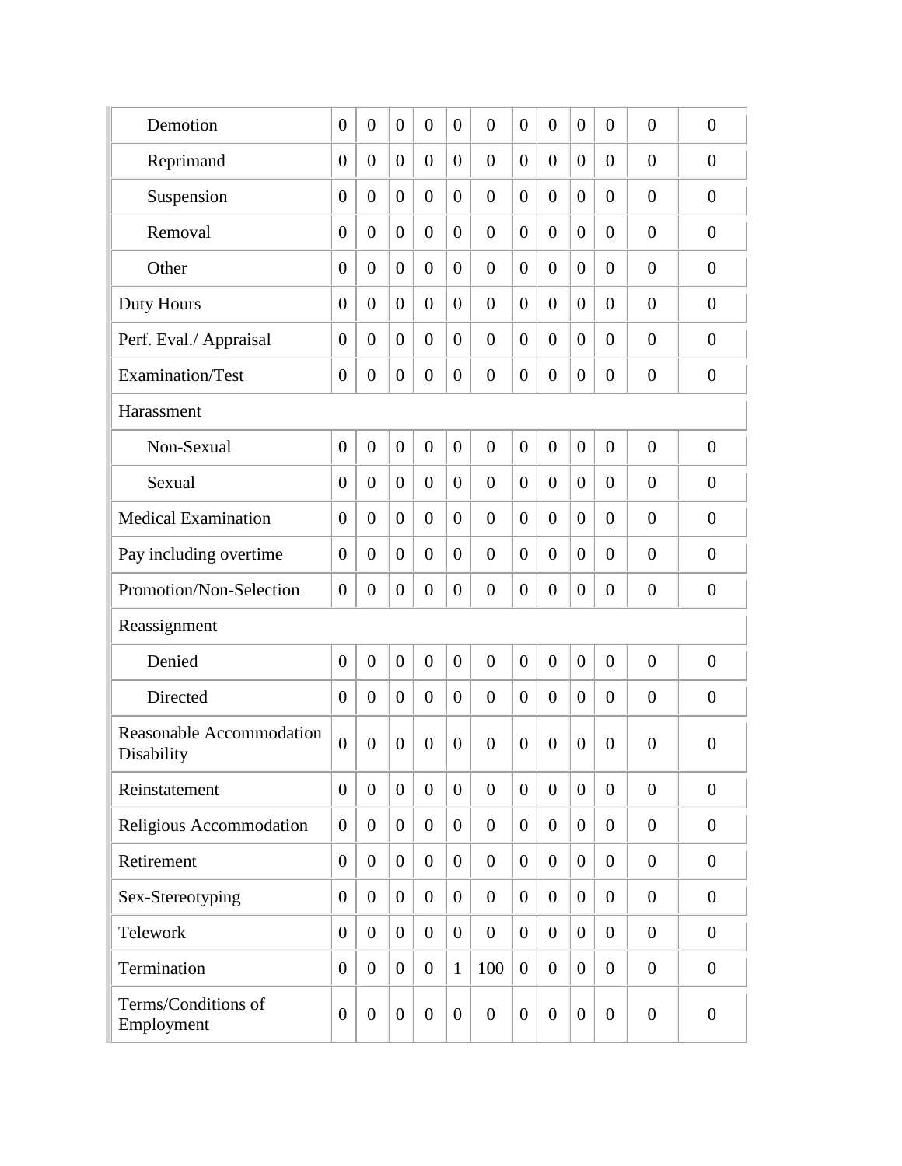| Demotion                                      | $\theta$       | $\overline{0}$   | $\overline{0}$   | $\overline{0}$   | $\overline{0}$ | $\overline{0}$ | $\overline{0}$ | $\overline{0}$   | $\overline{0}$ | $\boldsymbol{0}$ | $\overline{0}$ | $\overline{0}$ |
|-----------------------------------------------|----------------|------------------|------------------|------------------|----------------|----------------|----------------|------------------|----------------|------------------|----------------|----------------|
| Reprimand                                     | $\theta$       | $\overline{0}$   | $\overline{0}$   | $\overline{0}$   | $\overline{0}$ | $\overline{0}$ | $\theta$       | $\overline{0}$   | $\overline{0}$ | $\overline{0}$   | $\overline{0}$ | $\overline{0}$ |
| Suspension                                    | $\theta$       | $\overline{0}$   | $\overline{0}$   | $\theta$         | $\overline{0}$ | $\overline{0}$ | $\overline{0}$ | $\overline{0}$   | $\overline{0}$ | $\overline{0}$   | $\overline{0}$ | $\overline{0}$ |
| Removal                                       | $\theta$       | $\overline{0}$   | $\boldsymbol{0}$ | $\theta$         | $\overline{0}$ | $\theta$       | $\overline{0}$ | $\boldsymbol{0}$ | $\overline{0}$ | $\overline{0}$   | $\overline{0}$ | $\overline{0}$ |
| Other                                         | $\theta$       | $\overline{0}$   | $\overline{0}$   | $\theta$         | $\overline{0}$ | $\overline{0}$ | $\overline{0}$ | $\boldsymbol{0}$ | $\overline{0}$ | $\overline{0}$   | $\overline{0}$ | $\overline{0}$ |
| Duty Hours                                    | $\theta$       | $\overline{0}$   | $\overline{0}$   | $\overline{0}$   | $\overline{0}$ | $\overline{0}$ | $\overline{0}$ | $\boldsymbol{0}$ | $\overline{0}$ | $\overline{0}$   | $\overline{0}$ | $\overline{0}$ |
| Perf. Eval./ Appraisal                        | $\overline{0}$ | $\overline{0}$   | $\overline{0}$   | $\overline{0}$   | $\overline{0}$ | $\overline{0}$ | $\theta$       | $\boldsymbol{0}$ | $\overline{0}$ | $\overline{0}$   | $\overline{0}$ | $\overline{0}$ |
| Examination/Test                              | $\theta$       | $\overline{0}$   | $\overline{0}$   | $\boldsymbol{0}$ | $\overline{0}$ | $\overline{0}$ | $\theta$       | $\overline{0}$   | $\overline{0}$ | $\boldsymbol{0}$ | $\overline{0}$ | $\overline{0}$ |
| Harassment                                    |                |                  |                  |                  |                |                |                |                  |                |                  |                |                |
| Non-Sexual                                    | $\overline{0}$ | $\overline{0}$   | $\overline{0}$   | $\overline{0}$   | $\overline{0}$ | $\overline{0}$ | $\overline{0}$ | $\overline{0}$   | $\overline{0}$ | $\boldsymbol{0}$ | $\overline{0}$ | $\overline{0}$ |
| Sexual                                        | $\theta$       | $\overline{0}$   | $\overline{0}$   | $\overline{0}$   | $\overline{0}$ | $\overline{0}$ | $\theta$       | $\overline{0}$   | $\theta$       | $\overline{0}$   | $\overline{0}$ | $\overline{0}$ |
| <b>Medical Examination</b>                    | $\theta$       | $\overline{0}$   | $\overline{0}$   | $\overline{0}$   | $\overline{0}$ | $\overline{0}$ | $\theta$       | $\overline{0}$   | $\theta$       | $\overline{0}$   | $\overline{0}$ | $\overline{0}$ |
| Pay including overtime                        | $\theta$       | $\overline{0}$   | $\overline{0}$   | $\overline{0}$   | $\overline{0}$ | $\overline{0}$ | $\theta$       | $\overline{0}$   | $\theta$       | $\overline{0}$   | $\overline{0}$ | $\overline{0}$ |
| Promotion/Non-Selection                       | $\overline{0}$ | $\overline{0}$   | $\overline{0}$   | $\overline{0}$   | $\overline{0}$ | $\overline{0}$ | $\theta$       | $\overline{0}$   | $\theta$       | $\overline{0}$   | $\overline{0}$ | $\overline{0}$ |
| Reassignment                                  |                |                  |                  |                  |                |                |                |                  |                |                  |                |                |
| Denied                                        | $\overline{0}$ | $\overline{0}$   | $\overline{0}$   | $\overline{0}$   | $\overline{0}$ | $\overline{0}$ | $\theta$       | $\overline{0}$   | $\overline{0}$ | $\overline{0}$   | $\overline{0}$ | $\overline{0}$ |
| Directed                                      | $\theta$       | $\overline{0}$   | $\overline{0}$   | $\overline{0}$   | $\overline{0}$ | $\overline{0}$ | $\theta$       | $\overline{0}$   | $\theta$       | $\overline{0}$   | $\overline{0}$ | $\overline{0}$ |
| <b>Reasonable Accommodation</b><br>Disability | $\overline{0}$ | $\overline{0}$   | $\overline{0}$   | $\overline{0}$   | $\overline{0}$ | $\theta$       | $\overline{0}$ | $\overline{0}$   | $\overline{0}$ | $\theta$         | $\overline{0}$ | $\overline{0}$ |
| Reinstatement                                 | $\overline{0}$ | $\overline{0}$   | $\overline{0}$   | $\overline{0}$   | $\theta$       | $\overline{0}$ | $\overline{0}$ | $\overline{0}$   | $\theta$       | $\overline{0}$   | $\overline{0}$ | $\overline{0}$ |
| Religious Accommodation                       | $\overline{0}$ | $\boldsymbol{0}$ | $\boldsymbol{0}$ | $\overline{0}$   | $\overline{0}$ | $\overline{0}$ | $\mathbf{0}$   | $\boldsymbol{0}$ | $\theta$       | $\overline{0}$   | $\overline{0}$ | $\overline{0}$ |
| Retirement                                    | $\overline{0}$ | $\boldsymbol{0}$ | $\boldsymbol{0}$ | $\overline{0}$   | $\overline{0}$ | $\overline{0}$ | $\overline{0}$ | $\boldsymbol{0}$ | $\theta$       | $\boldsymbol{0}$ | $\overline{0}$ | $\overline{0}$ |
| Sex-Stereotyping                              | $\theta$       | $\boldsymbol{0}$ | $\boldsymbol{0}$ | $\overline{0}$   | $\overline{0}$ | $\overline{0}$ | $\overline{0}$ | $\boldsymbol{0}$ | $\overline{0}$ | $\boldsymbol{0}$ | $\overline{0}$ | $\overline{0}$ |
| Telework                                      | $\theta$       | $\boldsymbol{0}$ | $\boldsymbol{0}$ | $\overline{0}$   | $\overline{0}$ | $\overline{0}$ | $\overline{0}$ | $\boldsymbol{0}$ | $\overline{0}$ | $\boldsymbol{0}$ | $\overline{0}$ | $\overline{0}$ |
| Termination                                   | $\overline{0}$ | $\overline{0}$   | $\boldsymbol{0}$ | $\overline{0}$   | $\mathbf{1}$   | 100            | $\overline{0}$ | $\boldsymbol{0}$ | $\theta$       | $\boldsymbol{0}$ | $\overline{0}$ | $\overline{0}$ |
| Terms/Conditions of<br>Employment             | $\overline{0}$ | $\overline{0}$   | $\overline{0}$   | $\overline{0}$   | $\mathbf{0}$   | $\overline{0}$ | $\mathbf{0}$   | $\boldsymbol{0}$ | $\overline{0}$ | $\boldsymbol{0}$ | $\overline{0}$ | $\overline{0}$ |